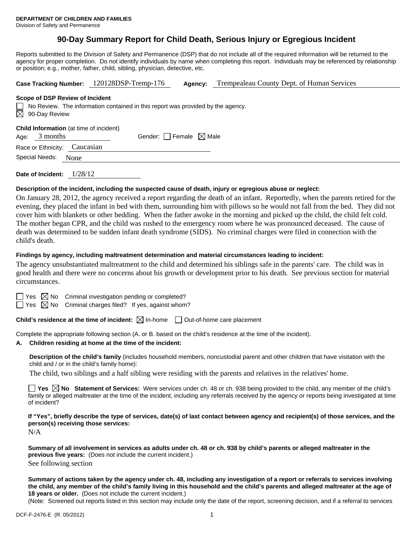# **90-Day Summary Report for Child Death, Serious Injury or Egregious Incident**

Reports submitted to the Division of Safety and Permanence (DSP) that do not include all of the required information will be returned to the agency for proper completion. Do not identify individuals by name when completing this report. Individuals may be referenced by relationship or position; e.g., mother, father, child, sibling, physician, detective, etc.

|                                                                                                                                                 | Case Tracking Number: 120128DSP-Tremp-176 | Agency: | Trempealeau County Dept. of Human Services |  |  |  |
|-------------------------------------------------------------------------------------------------------------------------------------------------|-------------------------------------------|---------|--------------------------------------------|--|--|--|
| Scope of DSP Review of Incident<br>No Review. The information contained in this report was provided by the agency.<br>$\boxtimes$ 90-Day Review |                                           |         |                                            |  |  |  |
| <b>Child Information</b> (at time of incident)<br>3 months<br>Age:                                                                              | Gender: Female $\boxtimes$ Male           |         |                                            |  |  |  |
| Caucasian<br>Race or Ethnicity:                                                                                                                 |                                           |         |                                            |  |  |  |
| Special Needs:<br>None                                                                                                                          |                                           |         |                                            |  |  |  |
|                                                                                                                                                 |                                           |         |                                            |  |  |  |

**Date of Incident:** 1/28/12

#### **Description of the incident, including the suspected cause of death, injury or egregious abuse or neglect:**

On January 28, 2012, the agency received a report regarding the death of an infant. Reportedly, when the parents retired for the evening, they placed the infant in bed with them, surrounding him with pillows so he would not fall from the bed. They did not cover him with blankets or other bedding. When the father awoke in the morning and picked up the child, the child felt cold. The mother began CPR, and the child was rushed to the emergency room where he was pronounced deceased. The cause of death was determined to be sudden infant death syndrome (SIDS). No criminal charges were filed in connection with the child's death.

#### **Findings by agency, including maltreatment determination and material circumstances leading to incident:**

The agency unsubstantiated maltreatment to the child and determined his siblings safe in the parents' care. The child was in good health and there were no concerns about his growth or development prior to his death. See previous section for material circumstances.

| × |
|---|
|   |

 $\boxtimes$  No Criminal investigation pending or completed?

Yes  $\boxtimes$  No Criminal charges filed? If yes, against whom?

**Child's residence at the time of incident:**  $\boxtimes$  In-home  $\Box$  Out-of-home care placement

Complete the appropriate following section (A. or B. based on the child's residence at the time of the incident).

#### **A. Children residing at home at the time of the incident:**

**Description of the child's family** (includes household members, noncustodial parent and other children that have visitation with the child and / or in the child's family home):

The child, two siblings and a half sibling were residing with the parents and relatives in the relatives' home.

**Yes No Statement of Services:** Were services under ch. 48 or ch. 938 being provided to the child, any member of the child's family or alleged maltreater at the time of the incident, including any referrals received by the agency or reports being investigated at time of incident?

**If "Yes", briefly describe the type of services, date(s) of last contact between agency and recipient(s) of those services, and the person(s) receiving those services:** 

N/A

**Summary of all involvement in services as adults under ch. 48 or ch. 938 by child's parents or alleged maltreater in the previous five years:** (Does not include the current incident.) See following section

**Summary of actions taken by the agency under ch. 48, including any investigation of a report or referrals to services involving the child, any member of the child's family living in this household and the child's parents and alleged maltreater at the age of 18 years or older.** (Does not include the current incident.)

(Note: Screened out reports listed in this section may include only the date of the report, screening decision, and if a referral to services